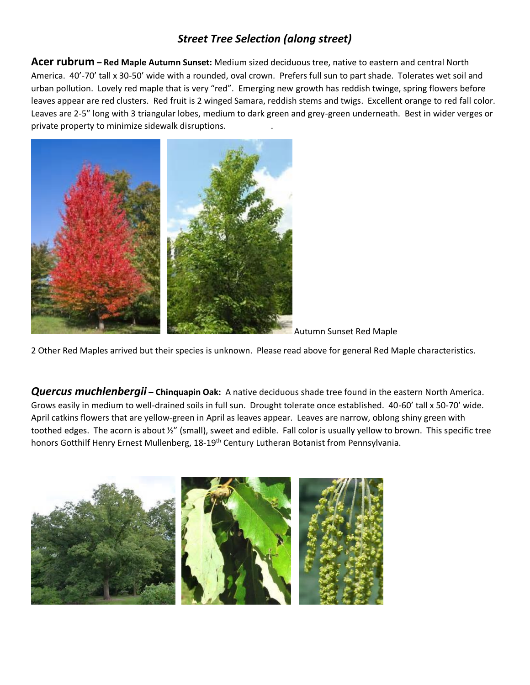# *Street Tree Selection (along street)*

**Acer rubrum – Red Maple Autumn Sunset:** Medium sized deciduous tree, native to eastern and central North America. 40'-70' tall x 30-50' wide with a rounded, oval crown. Prefers full sun to part shade. Tolerates wet soil and urban pollution. Lovely red maple that is very "red". Emerging new growth has reddish twinge, spring flowers before leaves appear are red clusters. Red fruit is 2 winged Samara, reddish stems and twigs. Excellent orange to red fall color. Leaves are 2-5" long with 3 triangular lobes, medium to dark green and grey-green underneath. Best in wider verges or private property to minimize sidewalk disruptions. .



Autumn Sunset Red Maple

2 Other Red Maples arrived but their species is unknown. Please read above for general Red Maple characteristics.

*Quercus muchlenbergii* **– Chinquapin Oak:** A native deciduous shade tree found in the eastern North America. Grows easily in medium to well-drained soils in full sun. Drought tolerate once established. 40-60' tall x 50-70' wide. April catkins flowers that are yellow-green in April as leaves appear. Leaves are narrow, oblong shiny green with toothed edges. The acorn is about ½" (small), sweet and edible. Fall color is usually yellow to brown. This specific tree honors Gotthilf Henry Ernest Mullenberg, 18-19<sup>th</sup> Century Lutheran Botanist from Pennsylvania.

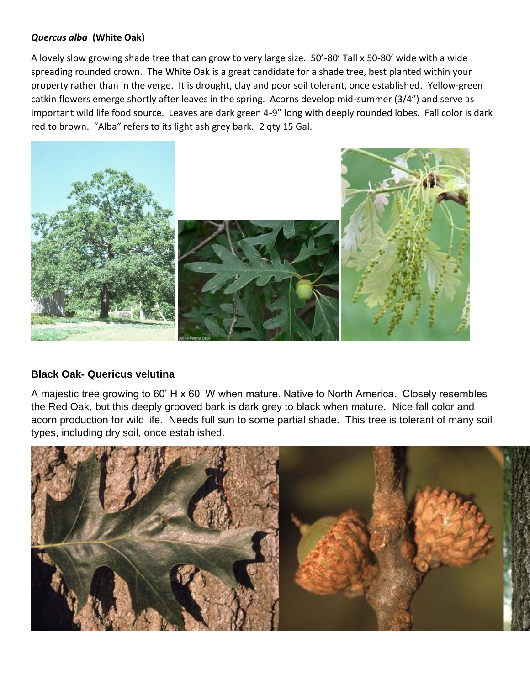## *Quercus alba* **(White Oak)**

A lovely slow growing shade tree that can grow to very large size. 50'-80' Tall x 50-80' wide with a wide spreading rounded crown. The White Oak is a great candidate for a shade tree, best planted within your property rather than in the verge. It is drought, clay and poor soil tolerant, once established. Yellow-green catkin flowers emerge shortly after leaves in the spring. Acorns develop mid-summer (3/4") and serve as important wild life food source. Leaves are dark green 4-9" long with deeply rounded lobes. Fall color is dark red to brown. "Alba" refers to its light ash grey bark. 2 qty 15 Gal.



### **Black Oak- Quericus velutina**

A majestic tree growing to 60' H x 60' W when mature. Native to North America. Closely resembles the Red Oak, but this deeply grooved bark is dark grey to black when mature. Nice fall color and acorn production for wild life. Needs full sun to some partial shade. This tree is tolerant of many soil types, including dry soil, once established.

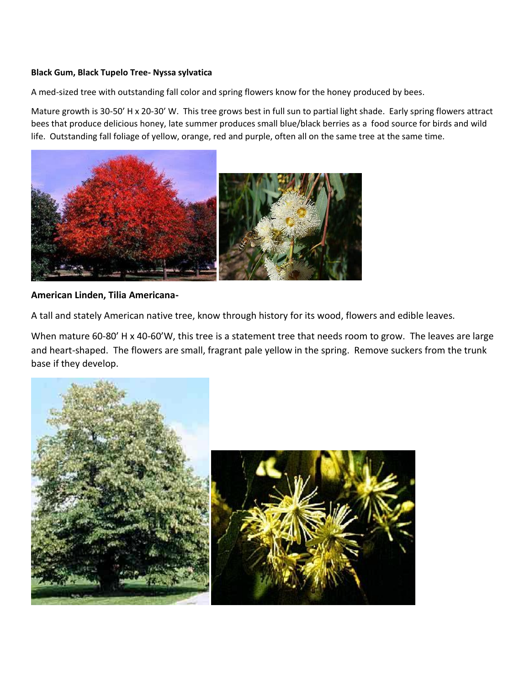#### **Black Gum, Black Tupelo Tree- Nyssa sylvatica**

A med-sized tree with outstanding fall color and spring flowers know for the honey produced by bees.

Mature growth is 30-50' H x 20-30' W. This tree grows best in full sun to partial light shade. Early spring flowers attract bees that produce delicious honey, late summer produces small blue/black berries as a food source for birds and wild life. Outstanding fall foliage of yellow, orange, red and purple, often all on the same tree at the same time.



#### **American Linden, Tilia Americana-**

A tall and stately American native tree, know through history for its wood, flowers and edible leaves.

When mature 60-80' H x 40-60'W, this tree is a statement tree that needs room to grow. The leaves are large and heart-shaped. The flowers are small, fragrant pale yellow in the spring. Remove suckers from the trunk base if they develop.